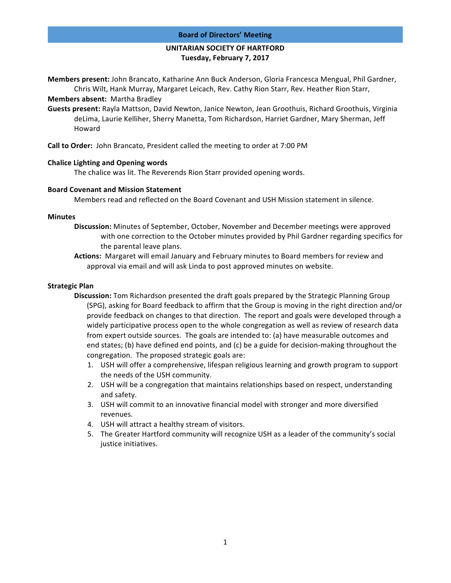#### **Board of Directors' Meeting**

# **UNITARIAN SOCIETY OF HARTFORD Tuesday, February 7, 2017**

**Members present:** John Brancato, Katharine Ann Buck Anderson, Gloria Francesca Mengual, Phil Gardner, Chris Wilt, Hank Murray, Margaret Leicach, Rev. Cathy Rion Starr, Rev. Heather Rion Starr,

**Members absent:** Martha Bradley

Guests present: Rayla Mattson, David Newton, Janice Newton, Jean Groothuis, Richard Groothuis, Virginia deLima, Laurie Kelliher, Sherry Manetta, Tom Richardson, Harriet Gardner, Mary Sherman, Jeff Howard

**Call to Order:** John Brancato, President called the meeting to order at 7:00 PM

# **Chalice Lighting and Opening words**

The chalice was lit. The Reverends Rion Starr provided opening words.

### **Board Covenant and Mission Statement**

Members read and reflected on the Board Covenant and USH Mission statement in silence.

# **Minutes**

- **Discussion:** Minutes of September, October, November and December meetings were approved with one correction to the October minutes provided by Phil Gardner regarding specifics for the parental leave plans.
- **Actions:** Margaret will email January and February minutes to Board members for review and approval via email and will ask Linda to post approved minutes on website.

# **Strategic Plan**

- **Discussion:** Tom Richardson presented the draft goals prepared by the Strategic Planning Group (SPG), asking for Board feedback to affirm that the Group is moving in the right direction and/or provide feedback on changes to that direction. The report and goals were developed through a widely participative process open to the whole congregation as well as review of research data from expert outside sources. The goals are intended to: (a) have measurable outcomes and end states; (b) have defined end points, and (c) be a guide for decision-making throughout the congregation. The proposed strategic goals are:
	- 1. USH will offer a comprehensive, lifespan religious learning and growth program to support the needs of the USH community.
	- 2. USH will be a congregation that maintains relationships based on respect, understanding and safety.
	- 3. USH will commit to an innovative financial model with stronger and more diversified revenues.
	- 4. USH will attract a healthy stream of visitors.
	- 5. The Greater Hartford community will recognize USH as a leader of the community's social justice initiatives.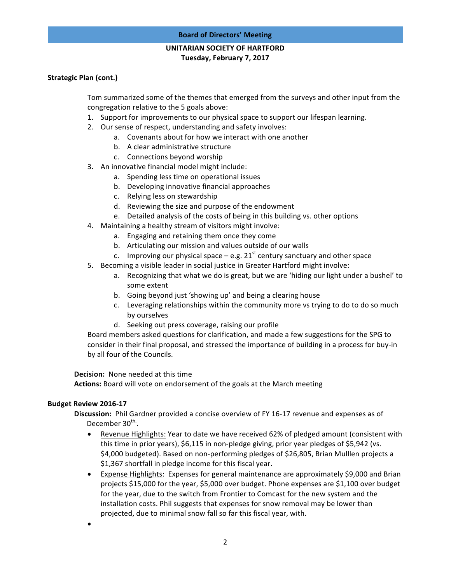# **UNITARIAN SOCIETY OF HARTFORD Tuesday, February 7, 2017**

# **Strategic Plan (cont.)**

Tom summarized some of the themes that emerged from the surveys and other input from the congregation relative to the 5 goals above:

- 1. Support for improvements to our physical space to support our lifespan learning.
- 2. Our sense of respect, understanding and safety involves:
	- a. Covenants about for how we interact with one another
	- b. A clear administrative structure
	- c. Connections beyond worship
- 3. An innovative financial model might include:
	- a. Spending less time on operational issues
	- b. Developing innovative financial approaches
	- c. Relying less on stewardship
	- d. Reviewing the size and purpose of the endowment
	- e. Detailed analysis of the costs of being in this building vs. other options
- 4. Maintaining a healthy stream of visitors might involve:
	- a. Engaging and retaining them once they come
	- b. Articulating our mission and values outside of our walls
	- c. Improving our physical space  $-$  e.g. 21<sup>st</sup> century sanctuary and other space
- 5. Becoming a visible leader in social justice in Greater Hartford might involve:
	- a. Recognizing that what we do is great, but we are 'hiding our light under a bushel' to some extent
	- b. Going beyond just 'showing up' and being a clearing house
	- c. Leveraging relationships within the community more vs trying to do to do so much by ourselves
	- d. Seeking out press coverage, raising our profile

Board members asked questions for clarification, and made a few suggestions for the SPG to consider in their final proposal, and stressed the importance of building in a process for buy-in by all four of the Councils.

**Decision:** None needed at this time

Actions: Board will vote on endorsement of the goals at the March meeting

### **Budget Review 2016-17**

**Discussion:** Phil Gardner provided a concise overview of FY 16-17 revenue and expenses as of December 30<sup>th,</sup>.

- Revenue Highlights: Year to date we have received 62% of pledged amount (consistent with this time in prior years), \$6,115 in non-pledge giving, prior year pledges of \$5,942 (vs. \$4,000 budgeted). Based on non-performing pledges of \$26,805, Brian Mulllen projects a  $$1,367$  shortfall in pledge income for this fiscal year.
- Expense Highlights: Expenses for general maintenance are approximately \$9,000 and Brian projects \$15,000 for the year, \$5,000 over budget. Phone expenses are \$1,100 over budget for the year, due to the switch from Frontier to Comcast for the new system and the installation costs. Phil suggests that expenses for snow removal may be lower than projected, due to minimal snow fall so far this fiscal year, with.
- •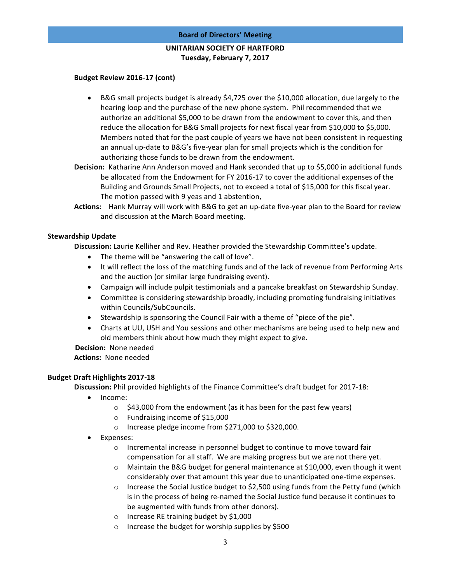### **Board of Directors' Meeting**

# **UNITARIAN SOCIETY OF HARTFORD Tuesday, February 7, 2017**

### **Budget Review 2016-17 (cont)**

- B&G small projects budget is already \$4,725 over the \$10,000 allocation, due largely to the hearing loop and the purchase of the new phone system. Phil recommended that we authorize an additional \$5,000 to be drawn from the endowment to cover this, and then reduce the allocation for B&G Small projects for next fiscal year from \$10,000 to \$5,000. Members noted that for the past couple of years we have not been consistent in requesting an annual up-date to B&G's five-year plan for small projects which is the condition for authorizing those funds to be drawn from the endowment.
- **Decision:** Katharine Ann Anderson moved and Hank seconded that up to \$5,000 in additional funds be allocated from the Endowment for FY 2016-17 to cover the additional expenses of the Building and Grounds Small Projects, not to exceed a total of \$15,000 for this fiscal year. The motion passed with 9 yeas and 1 abstention,
- Actions: Hank Murray will work with B&G to get an up-date five-year plan to the Board for review and discussion at the March Board meeting.

# **Stewardship Update**

Discussion: Laurie Kelliher and Rev. Heather provided the Stewardship Committee's update.

- The theme will be "answering the call of love".
- It will reflect the loss of the matching funds and of the lack of revenue from Performing Arts and the auction (or similar large fundraising event).
- Campaign will include pulpit testimonials and a pancake breakfast on Stewardship Sunday.
- Committee is considering stewardship broadly, including promoting fundraising initiatives within Councils/SubCouncils.
- Stewardship is sponsoring the Council Fair with a theme of "piece of the pie".
- Charts at UU, USH and You sessions and other mechanisms are being used to help new and old members think about how much they might expect to give.

**Decision:** None needed

Actions: None needed

# **Budget Draft Highlights 2017-18**

**Discussion:** Phil provided highlights of the Finance Committee's draft budget for 2017-18:

- Income:
	- $\circ$  \$43,000 from the endowment (as it has been for the past few years)
	- $\circ$  Fundraising income of \$15,000
	- o Increase pledge income from \$271,000 to \$320,000.
- Expenses:
	- $\circ$  Incremental increase in personnel budget to continue to move toward fair compensation for all staff. We are making progress but we are not there yet.
	- $\circ$  Maintain the B&G budget for general maintenance at \$10,000, even though it went considerably over that amount this year due to unanticipated one-time expenses.
	- $\circ$  Increase the Social Justice budget to \$2,500 using funds from the Petty fund (which is in the process of being re-named the Social Justice fund because it continues to be augmented with funds from other donors).
	- $\circ$  Increase RE training budget by \$1,000
	- $\circ$  Increase the budget for worship supplies by \$500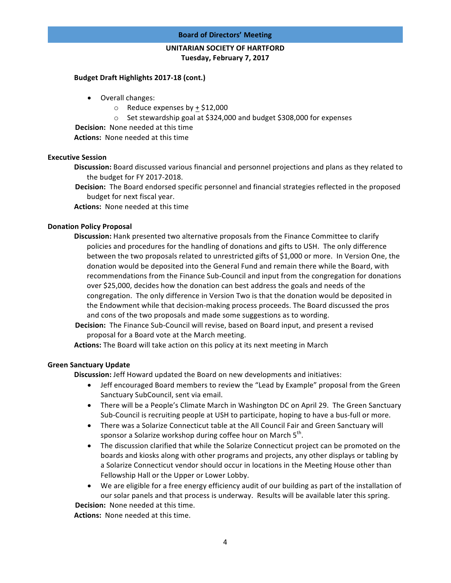#### **Board of Directors' Meeting**

# **UNITARIAN SOCIETY OF HARTFORD Tuesday, February 7, 2017**

### Budget Draft Highlights 2017-18 (cont.)

- Overall changes:
	- $\circ$  Reduce expenses by + \$12,000
	- $\circ$  Set stewardship goal at \$324,000 and budget \$308,000 for expenses

**Decision:** None needed at this time

**Actions:** None needed at this time

# **Executive Session**

- **Discussion:** Board discussed various financial and personnel projections and plans as they related to the budget for FY 2017-2018.
- **Decision:** The Board endorsed specific personnel and financial strategies reflected in the proposed budget for next fiscal year.

**Actions:** None needed at this time

# **Donation Policy Proposal**

- **Discussion:** Hank presented two alternative proposals from the Finance Committee to clarify policies and procedures for the handling of donations and gifts to USH. The only difference between the two proposals related to unrestricted gifts of \$1,000 or more. In Version One, the donation would be deposited into the General Fund and remain there while the Board, with recommendations from the Finance Sub-Council and input from the congregation for donations over \$25,000, decides how the donation can best address the goals and needs of the congregation. The only difference in Version Two is that the donation would be deposited in the Endowment while that decision-making process proceeds. The Board discussed the pros and cons of the two proposals and made some suggestions as to wording.
- **Decision:** The Finance Sub-Council will revise, based on Board input, and present a revised proposal for a Board vote at the March meeting.

**Actions:** The Board will take action on this policy at its next meeting in March

### **Green Sanctuary Update**

**Discussion:** Jeff Howard updated the Board on new developments and initiatives:

- Jeff encouraged Board members to review the "Lead by Example" proposal from the Green Sanctuary SubCouncil, sent via email.
- There will be a People's Climate March in Washington DC on April 29. The Green Sanctuary Sub-Council is recruiting people at USH to participate, hoping to have a bus-full or more.
- There was a Solarize Connecticut table at the All Council Fair and Green Sanctuary will sponsor a Solarize workshop during coffee hour on March 5<sup>th</sup>.
- The discussion clarified that while the Solarize Connecticut project can be promoted on the boards and kiosks along with other programs and projects, any other displays or tabling by a Solarize Connecticut vendor should occur in locations in the Meeting House other than Fellowship Hall or the Upper or Lower Lobby.
- We are eligible for a free energy efficiency audit of our building as part of the installation of our solar panels and that process is underway. Results will be available later this spring. **Decision:** None needed at this time.

Actions: None needed at this time.